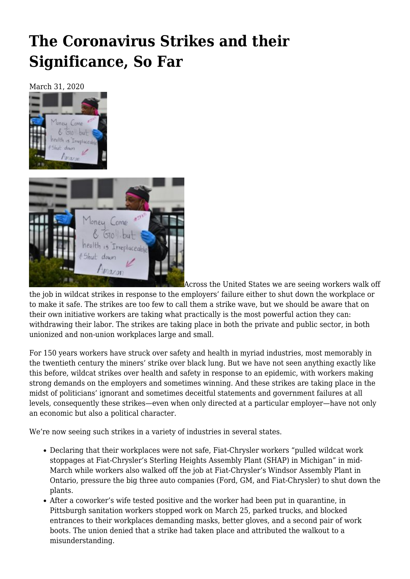## **[The Coronavirus Strikes and their](https://newpol.org/the-coronavirus-strikes-and-their-significance-so-far/) [Significance, So Far](https://newpol.org/the-coronavirus-strikes-and-their-significance-so-far/)**

March 31, 2020





Across the United States we are seeing [workers walk off](https://www.labornotes.org/2020/03/walkouts-spread-workers-seek-coronavirus-protections)

[the job in wildcat strikes](https://www.labornotes.org/2020/03/walkouts-spread-workers-seek-coronavirus-protections) in response to the employers' failure either to shut down the workplace or to make it safe. The strikes are too few to call them a strike wave, but we should be aware that on their own initiative workers are taking what practically is the most powerful action they can: withdrawing their labor. The strikes are taking place in both the private and public sector, in both unionized and non-union workplaces large and small.

For 150 years workers have struck over safety and health in myriad industries, most memorably in the twentieth century the miners' strike over black lung. But we have not seen anything exactly like this before, wildcat strikes over health and safety in response to an epidemic, with workers making strong demands on the employers and sometimes winning. And these strikes are taking place in the midst of politicians' ignorant and sometimes deceitful statements and government failures at all levels, consequently these strikes—even when only directed at a particular employer—have not only an economic but also a political character.

We're now seeing such strikes in a variety of industries in several states.

- Declaring that their workplaces were not safe, [Fiat-Chrysler workers](https://www.labornotes.org/blogs/2020/03/auto-companies-announce-closure-following-outbreak-wildcat-strikes) "pulled wildcat work stoppages at Fiat-Chrysler's Sterling Heights Assembly Plant (SHAP) in Michigan" in mid-March while workers also walked off the job at Fiat-Chrysler's Windsor Assembly Plant in Ontario, pressure the big three auto companies (Ford, GM, and Fiat-Chrysler) to shut down the plants.
- After a coworker's wife tested positive and the worker had been put in quarantine, [in](https://www.post-gazette.com/local/city/2020/03/25/Pittsburgh-sanitation-workers-refusing-to-pick-up-trash-rally-protective-gear-coronavirus/stories/202003250077) [Pittsburgh](https://www.post-gazette.com/local/city/2020/03/25/Pittsburgh-sanitation-workers-refusing-to-pick-up-trash-rally-protective-gear-coronavirus/stories/202003250077) sanitation workers stopped work on March 25, parked trucks, and blocked entrances to their workplaces demanding masks, better gloves, and a second pair of work boots. The union denied that a strike had taken place and attributed the walkout to a misunderstanding.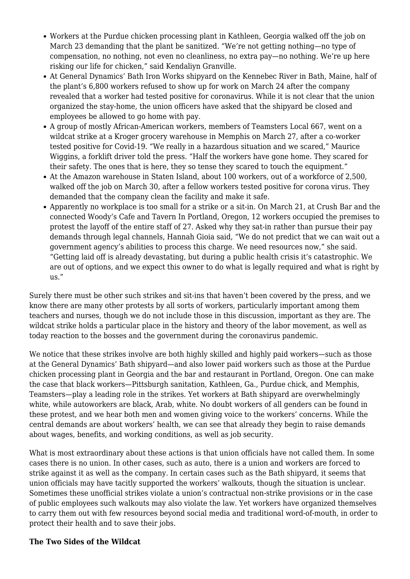- Workers at the [Purdue chicken processing plant in Kathleen, Georgia](https://www.13wmaz.com/article/news/local/perdue-employees-walk-out-as-coronavirus-concerns-grow/93-7c7bdcbb-f3ec-439b-b541-9070e758b5cb) walked off the job on March 23 demanding that the plant be sanitized. "We're not getting nothing—no type of compensation, no nothing, not even no cleanliness, no extra pay—no nothing. We're up here risking our life for chicken," said Kendaliyn Granville.
- At [General Dynamics' Bath Iron Works shipyard on the Kennebec River in Bath, Maine,](https://wgme.com/news/coronavirus/bath-iron-works-union-asks-for-shipyard-closure-after-half-of-workers-fail-to-show) half of the plant's 6,800 workers refused to show up for work on March 24 after the company revealed that a worker had tested positive for coronavirus. While it is not clear that the union organized the stay-home, the union officers have asked that the shipyard be closed and employees be allowed to go home with pay.
- A group of mostly African-American workers, members of Teamsters Local 667, went on a [wildcat strike at a Kroger grocery warehouse in Memphis](https://paydayreport.com/memphis-teamsters-wildcat-strike-at-krogers-massive-southern-warehouse/) on March 27, after a co-worker tested positive for Covid-19. "We really in a hazardous situation and we scared," Maurice Wiggins, a forklift driver told the press. "Half the workers have gone home. They scared for their safety. The ones that is here, they so tense they scared to touch the equipment."
- At the [Amazon warehouse in Staten Island, ab](https://nypost.com/2020/03/30/coronavirus-in-ny-amazons-staten-island-employees-strike-over-response/)out 100 workers, out of a workforce of 2,500, walked off the job on March 30, after a fellow workers tested positive for corona virus. They demanded that the company clean the facility and make it safe.
- Apparently no workplace is too small for a strike or a sit-in. [On March 21, at Crush Bar and the](https://pdx.eater.com/2020/3/17/21184325/crush-bar-sit-in-layoffs-covid-19) [connected Woody's Cafe and Tavern In Portland, Oregon](https://pdx.eater.com/2020/3/17/21184325/crush-bar-sit-in-layoffs-covid-19), 12 workers occupied the premises to protest the layoff of the entire staff of 27. Asked why they sat-in rather than pursue their pay demands through legal channels, Hannah Gioia said, "We do not predict that we can wait out a government agency's abilities to process this charge. We need resources now," she said. "Getting laid off is already devastating, but during a public health crisis it's catastrophic. We are out of options, and we expect this owner to do what is legally required and what is right by us."

Surely there must be other such strikes and sit-ins that haven't been covered by the press, and we know there are many other protests by all sorts of workers, particularly important among them teachers and nurses, though we do not include those in this discussion, important as they are. The wildcat strike holds a particular place in the history and theory of the labor movement, as well as today reaction to the bosses and the government during the coronavirus pandemic.

We notice that these strikes involve are both highly skilled and highly paid workers—such as those at the General Dynamics' Bath shipyard—and also lower paid workers such as those at the Purdue chicken processing plant in Georgia and the bar and restaurant in Portland, Oregon. One can make the case that black workers—Pittsburgh sanitation, Kathleen, Ga., Purdue chick, and Memphis, Teamsters—play a leading role in the strikes. Yet workers at Bath shipyard are overwhelmingly white, while autoworkers are black, Arab, white. No doubt workers of all genders can be found in these protest, and we hear both men and women giving voice to the workers' concerns. While the central demands are about workers' health, we can see that already they begin to raise demands about wages, benefits, and working conditions, as well as job security.

What is most extraordinary about these actions is that union officials have not called them. In some cases there is no union. In other cases, such as auto, there is a union and workers are forced to strike against it as well as the company. In certain cases such as the Bath shipyard, it seems that union officials may have tacitly supported the workers' walkouts, though the situation is unclear. Sometimes these unofficial strikes violate a union's contractual non-strike provisions or in the case of public employees such walkouts may also violate the law. Yet workers have organized themselves to carry them out with few resources beyond social media and traditional word-of-mouth, in order to protect their health and to save their jobs.

## **The Two Sides of the Wildcat**